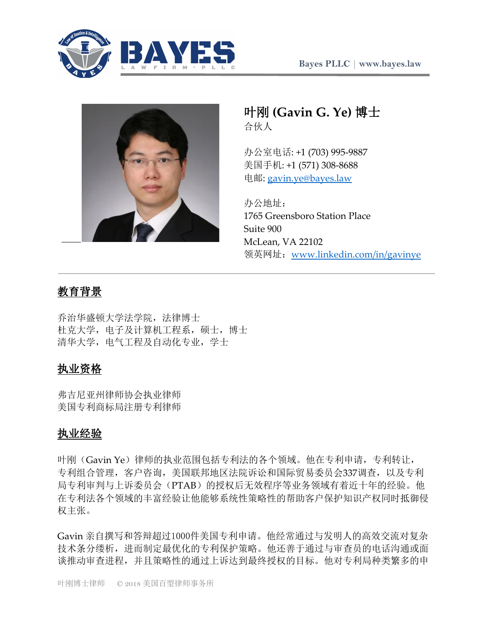



# 叶刚 **(Gavin G. Ye)** 博士 合伙人

办公室电话: +1 (703) 995-9887 美国手机: +1 (571) 308-8688 电邮: gavin.ye@bayes.law

办公地址: 1765 Greensboro Station Place Suite 900 McLean, VA 22102 领英网址:www.linkedin.com/in/gavinye

# 教育背景

乔治华盛顿大学法学院,法律博士 杜克大学,电子及计算机工程系,硕士,博士 清华大学, 电气工程及自动化专业, 学士

## 执业资格

弗吉尼亚州律师协会执业律师 美国专利商标局注册专利律师

## 执业经验

叶刚(Gavin Ye)律师的执业范围包括专利法的各个领域。他在专利申请,专利转让, 专利组合管理,客户咨询,美国联邦地区法院诉讼和国际贸易委员会337调查,以及专利 局专利审判与上诉委员会(PTAB)的授权后无效程序等业务领域有着近十年的经验。他 在专利法各个领域的丰富经验让他能够系统性策略性的帮助客户保护知识产权同时抵御侵 权主张。

Gavin 亲自撰写和答辩超过1000件美国专利申请。他经常通过与发明人的高效交流对复杂 技术条分缕析,进而制定最优化的专利保护策略。他还善于通过与审查员的电话沟通或面 谈推动审查进程,并且策略性的通过上诉达到最终授权的目标。他对专利局种类繁多的申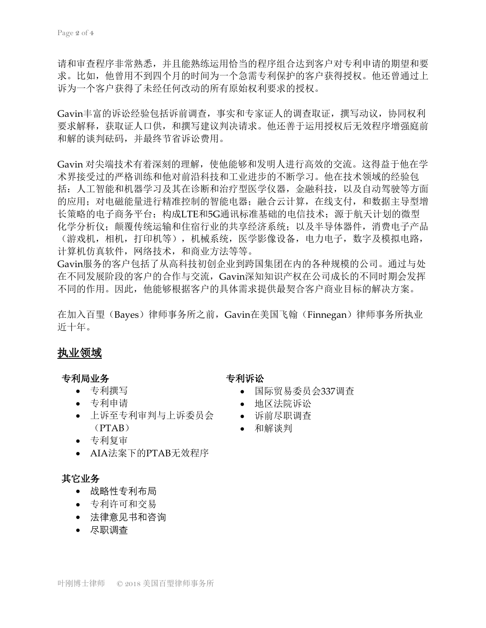请和审查程序非常熟悉,并且能熟练运用恰当的程序组合达到客户对专利申请的期望和要 求。比如,他曾用不到四个月的时间为一个急需专利保护的客户获得授权。他还曾通过上 诉为一个客户获得了未经任何改动的所有原始权利要求的授权。

Gavin丰富的诉讼经验包括诉前调查,事实和专家证人的调查取证,撰写动议,协同权利 要求解释,获取证人口供,和撰写建议判决请求。他还善于运用授权后无效程序增强庭前 和解的谈判砝码,并最终节省诉讼费用。

Gavin 对尖端技术有着深刻的理解,使他能够和发明人进行高效的交流。这得益于他在学 术界接受过的严格训练和他对前沿科技和工业进步的不断学习。他在技术领域的经验包 括:人工智能和机器学习及其在诊断和治疗型医学仪器,金融科技,以及自动驾驶等方面 的应用;对电磁能量进行精准控制的智能电器;融合云计算,在线支付,和数据主导型增 长策略的电子商务平台;构成LTE和5G通讯标准基础的电信技术;源于航天计划的微型 化学分析仪; 颠覆传统运输和住宿行业的共享经济系统; 以及半导体器件, 消费电子产品 (游戏机,相机,打印机等),机械系统,医学影像设备,电力电子,数字及模拟电路, 计算机仿真软件,网络技术,和商业方法等等。

Gavin服务的客户包括了从高科技初创企业到跨国集团在内的各种规模的公司。通过与处 在不同发展阶段的客户的合作与交流,Gavin深知知识产权在公司成长的不同时期会发挥 不同的作用。因此,他能够根据客户的具体需求提供最契合客户商业目标的解决方案。

在加入百琞(Bayes)律师事务所之前,Gavin在美国飞翰(Finnegan)律师事务所执业 近十年。

## 执业领域

#### 专利局业务

- 专利撰写
- 专利申请
- 上诉至专利审判与上诉委员会 诉前尽职调查 (PTAB)
- 专利复审
- AIA法案下的PTAB无效程序

### 其它业务

- 战略性专利布局
- 专利许可和交易
- 法律意见书和咨询
- 尽职调查

### 专利诉讼

- 国际贸易委员会337调查
- 地区法院诉讼
- 
- 和解谈判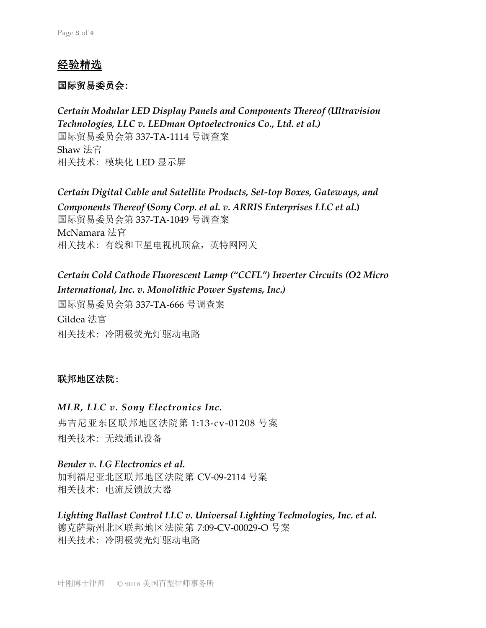## 经验精选

#### 国际贸易委员会:

*Certain Modular LED Display Panels and Components Thereof (Ultravision Technologies, LLC v. LEDman Optoelectronics Co., Ltd. et al.)* 国际贸易委员会第 337-TA-1114 号调查案 Shaw 法官 相关技术: 模块化 LED 显示屏

*Certain Digital Cable and Satellite Products, Set-top Boxes, Gateways, and Components Thereof* **(***Sony Corp. et al. v. ARRIS Enterprises LLC et al***.)** 国际贸易委员会第 337-TA-1049 号调查案 McNamara 法官 相关技术: 有线和卫星电视机顶盒,英特网网关

## *Certain Cold Cathode Fluorescent Lamp ("CCFL") Inverter Circuits (O2 Micro International, Inc. v. Monolithic Power Systems, Inc.)*

国际贸易委员会第 337-TA-666 号调查案 Gildea 法官 相关技术: 冷阴极荧光灯驱动电路

### 联邦地区法院:

### *MLR, LLC v. Sony Electronics Inc.*

弗吉尼亚东区联邦地区法院第 1:13-cv-01208 号案 相关技术: 无线通讯设备

*Bender v. LG Electronics et al.* 加利福尼亚北区联邦地区法院第 CV-09-2114 号案 相关技术: 电流反馈放大器

*Lighting Ballast Control LLC v. Universal Lighting Technologies, Inc. et al.* 德克萨斯州北区联邦地区法院第 7:09-CV-00029-O 号案 相关技术: 冷阴极荧光灯驱动电路